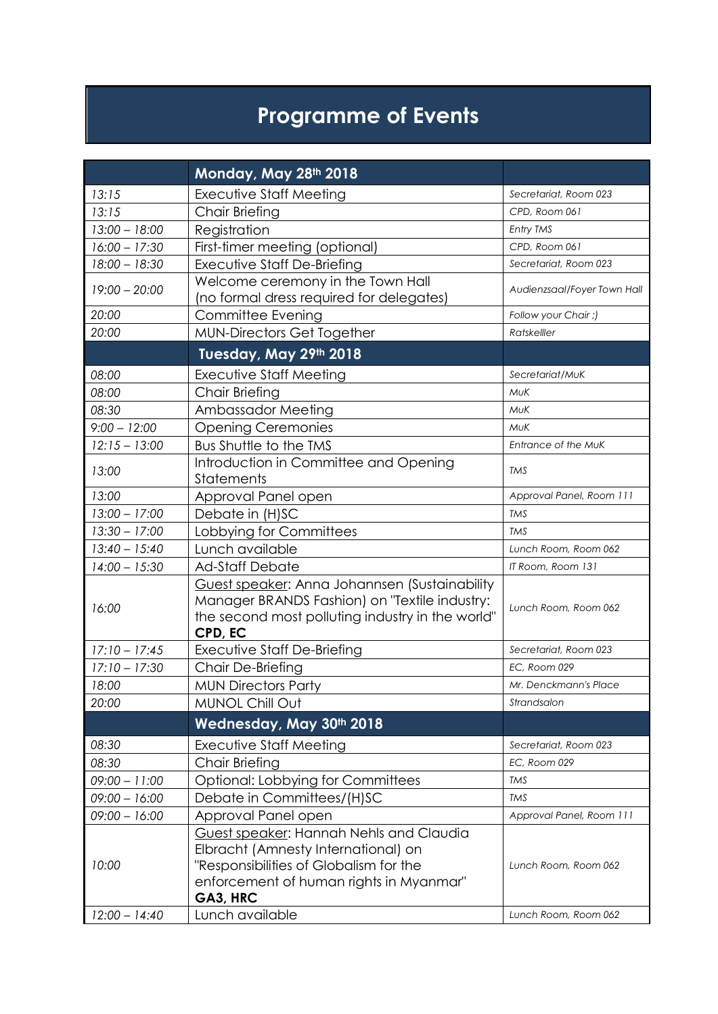## **Programme of Events**

|                 | Monday, May 28th 2018                                                                          |                             |  |  |  |
|-----------------|------------------------------------------------------------------------------------------------|-----------------------------|--|--|--|
| 13:15           | <b>Executive Staff Meeting</b>                                                                 | Secretariat, Room 023       |  |  |  |
| 13:15           | Chair Briefing                                                                                 | CPD, Room 061               |  |  |  |
| $13:00 - 18:00$ | Registration                                                                                   | Entry TMS                   |  |  |  |
| $16:00 - 17:30$ | First-timer meeting (optional)                                                                 | CPD, Room 061               |  |  |  |
| $18:00 - 18:30$ | Executive Staff De-Briefing                                                                    | Secretariat, Room 023       |  |  |  |
| $19:00 - 20:00$ | Welcome ceremony in the Town Hall                                                              | Audienzsaal/Foyer Town Hall |  |  |  |
|                 | (no formal dress required for delegates)                                                       |                             |  |  |  |
| 20:00           | Committee Evening                                                                              | Follow your Chair ;)        |  |  |  |
| 20:00           | <b>MUN-Directors Get Together</b>                                                              | Ratskelller                 |  |  |  |
|                 | Tuesday, May 29th 2018                                                                         |                             |  |  |  |
| 08:00           | Executive Staff Meeting                                                                        | Secretariat/MuK             |  |  |  |
| 08:00           | Chair Briefing                                                                                 | <b>MUK</b>                  |  |  |  |
| 08:30           | Ambassador Meeting                                                                             | <b>MUK</b>                  |  |  |  |
| $9:00 - 12:00$  | <b>Opening Ceremonies</b>                                                                      | MUK                         |  |  |  |
| $12:15 - 13:00$ | <b>Bus Shuttle to the TMS</b>                                                                  | Entrance of the MuK         |  |  |  |
| 13:00           | Introduction in Committee and Opening                                                          | TMS                         |  |  |  |
|                 | Statements                                                                                     |                             |  |  |  |
| 13:00           | Approval Panel open                                                                            | Approval Panel, Room 111    |  |  |  |
| $13:00 - 17:00$ | Debate in (H)SC                                                                                | <b>TMS</b>                  |  |  |  |
| $13:30 - 17:00$ | Lobbying for Committees                                                                        | <b>TMS</b>                  |  |  |  |
| $13:40 - 15:40$ | Lunch available                                                                                | Lunch Room, Room 062        |  |  |  |
| $14:00 - 15:30$ | <b>Ad-Staff Debate</b>                                                                         | IT Room, Room 131           |  |  |  |
|                 | Guest speaker: Anna Johannsen (Sustainability<br>Manager BRANDS Fashion) on "Textile industry: |                             |  |  |  |
| 16:00           | the second most polluting industry in the world"                                               | Lunch Room, Room 062        |  |  |  |
|                 | CPD, EC                                                                                        |                             |  |  |  |
| $17:10 - 17:45$ | Executive Staff De-Briefing                                                                    | Secretariat, Room 023       |  |  |  |
| $17:10 - 17:30$ | Chair De-Briefing                                                                              | <b>EC. Room 029</b>         |  |  |  |
| 18:00           | <b>MUN Directors Party</b>                                                                     | Mr. Denckmann's Place       |  |  |  |
| 20:00           | <b>MUNOL Chill Out</b>                                                                         | Strandsalon                 |  |  |  |
|                 | Wednesday, May 30th 2018                                                                       |                             |  |  |  |
| 08:30           | Executive Staff Meeting                                                                        | Secretariat, Room 023       |  |  |  |
| 08:30           | <b>Chair Briefing</b>                                                                          | EC, Room 029                |  |  |  |
| $09:00 - 11:00$ | Optional: Lobbying for Committees                                                              | <b>TMS</b>                  |  |  |  |
| $09:00 - 16:00$ | Debate in Committees/(H)SC                                                                     | <b>TMS</b>                  |  |  |  |
| $09:00 - 16:00$ | Approval Panel open                                                                            | Approval Panel, Room 111    |  |  |  |
|                 | Guest speaker: Hannah Nehls and Claudia                                                        |                             |  |  |  |
|                 | Elbracht (Amnesty International) on                                                            |                             |  |  |  |
| 10:00           | "Responsibilities of Globalism for the                                                         | Lunch Room, Room 062        |  |  |  |
|                 | enforcement of human rights in Myanmar"                                                        |                             |  |  |  |
|                 | GA3, HRC                                                                                       |                             |  |  |  |
| $12:00 - 14:40$ | Lunch available                                                                                | Lunch Room, Room 062        |  |  |  |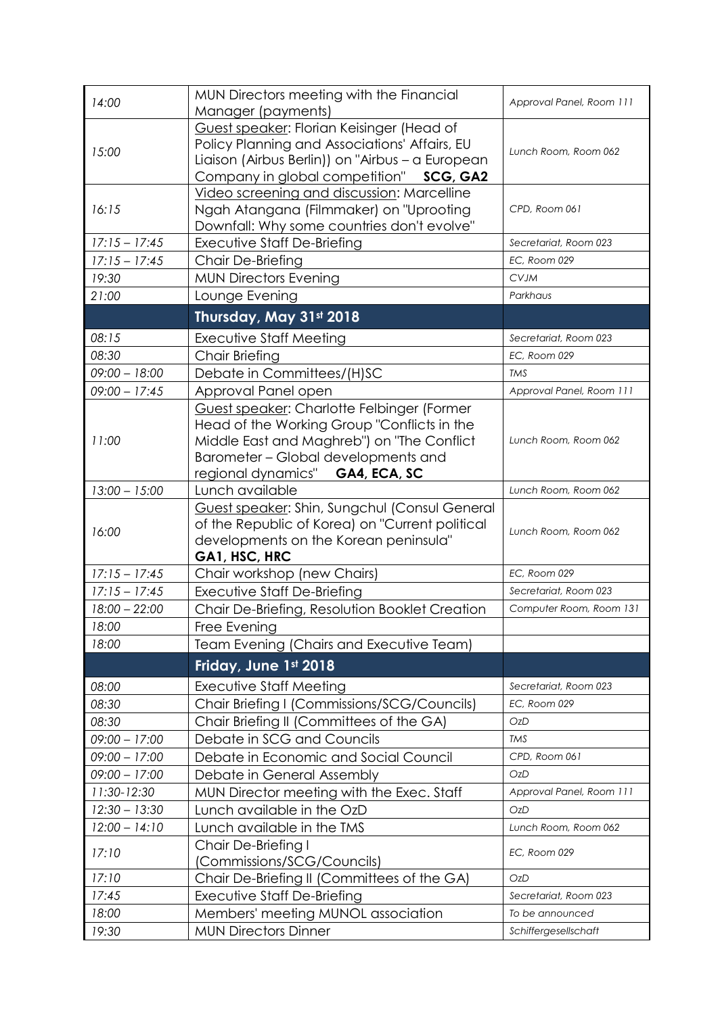| 14:00           | MUN Directors meeting with the Financial<br>Approval Panel, Room 111<br>Manager (payments)                                                                                                                        |                          |  |  |  |  |
|-----------------|-------------------------------------------------------------------------------------------------------------------------------------------------------------------------------------------------------------------|--------------------------|--|--|--|--|
| 15:00           | Guest speaker: Florian Keisinger (Head of<br>Policy Planning and Associations' Affairs, EU<br>Lunch Room, Room 062<br>Liaison (Airbus Berlin)) on "Airbus - a European<br>Company in global competition" SCG, GA2 |                          |  |  |  |  |
| 16:15           | Video screening and discussion: Marcelline<br>Ngah Atangana (Filmmaker) on "Uprooting<br>Downfall: Why some countries don't evolve"                                                                               | CPD, Room 061            |  |  |  |  |
| $17:15 - 17:45$ | <b>Executive Staff De-Briefing</b>                                                                                                                                                                                | Secretariat, Room 023    |  |  |  |  |
| $17:15 - 17:45$ | Chair De-Briefing                                                                                                                                                                                                 | EC, Room 029             |  |  |  |  |
| 19:30           | <b>MUN Directors Evening</b>                                                                                                                                                                                      | <b>CVJM</b>              |  |  |  |  |
| 21:00           | Lounge Evening                                                                                                                                                                                                    | Parkhaus                 |  |  |  |  |
|                 | Thursday, May 31st 2018                                                                                                                                                                                           |                          |  |  |  |  |
| 08:15           | Executive Staff Meeting                                                                                                                                                                                           | Secretariat, Room 023    |  |  |  |  |
| 08:30           | EC, Room 029<br><b>Chair Briefing</b>                                                                                                                                                                             |                          |  |  |  |  |
| $09:00 - 18:00$ | Debate in Committees/(H)SC                                                                                                                                                                                        | <b>TMS</b>               |  |  |  |  |
| $09:00 - 17:45$ | Approval Panel open                                                                                                                                                                                               | Approval Panel, Room 111 |  |  |  |  |
| 11:00           | Guest speaker: Charlotte Felbinger (Former<br>Head of the Working Group "Conflicts in the<br>Middle East and Maghreb") on "The Conflict<br>Barometer - Global developments and<br>regional dynamics" GA4, ECA, SC | Lunch Room, Room 062     |  |  |  |  |
| $13:00 - 15:00$ | Lunch available                                                                                                                                                                                                   | Lunch Room, Room 062     |  |  |  |  |
| 16:00           | Guest speaker: Shin, Sungchul (Consul General<br>of the Republic of Korea) on "Current political<br>developments on the Korean peninsula"<br>GA1, HSC, HRC                                                        | Lunch Room, Room 062     |  |  |  |  |
| $17:15 - 17:45$ | Chair workshop (new Chairs)                                                                                                                                                                                       | EC, Room 029             |  |  |  |  |
| $17:15 - 17:45$ | Executive Staff De-Briefing                                                                                                                                                                                       | Secretariat, Room 023    |  |  |  |  |
| $18:00 - 22:00$ | Chair De-Briefing, Resolution Booklet Creation                                                                                                                                                                    | Computer Room, Room 131  |  |  |  |  |
| 18:00           | Free Evening                                                                                                                                                                                                      |                          |  |  |  |  |
| 18:00           | Team Evening (Chairs and Executive Team)                                                                                                                                                                          |                          |  |  |  |  |
|                 | Friday, June 1st 2018                                                                                                                                                                                             |                          |  |  |  |  |
| 08:00           | Executive Staff Meeting                                                                                                                                                                                           | Secretariat, Room 023    |  |  |  |  |
| 08:30           | Chair Briefing I (Commissions/SCG/Councils)                                                                                                                                                                       | EC, Room 029             |  |  |  |  |
| 08:30           | Chair Briefing II (Committees of the GA)                                                                                                                                                                          | OzD                      |  |  |  |  |
| $09:00 - 17:00$ | Debate in SCG and Councils                                                                                                                                                                                        | <b>TMS</b>               |  |  |  |  |
| $09:00 - 17:00$ | Debate in Economic and Social Council                                                                                                                                                                             | CPD, Room 061            |  |  |  |  |
| $09:00 - 17:00$ | Debate in General Assembly                                                                                                                                                                                        | OzD                      |  |  |  |  |
| 11:30-12:30     | MUN Director meeting with the Exec. Staff                                                                                                                                                                         | Approval Panel, Room 111 |  |  |  |  |
| $12:30 - 13:30$ | Lunch available in the OzD                                                                                                                                                                                        | <b>OzD</b>               |  |  |  |  |
| $12:00 - 14:10$ | Lunch available in the TMS                                                                                                                                                                                        | Lunch Room, Room 062     |  |  |  |  |
| 17:10           | Chair De-Briefing I<br>(Commissions/SCG/Councils)                                                                                                                                                                 | EC, Room 029             |  |  |  |  |
| 17:10           | Chair De-Briefing II (Committees of the GA)                                                                                                                                                                       | OzD                      |  |  |  |  |
| 17:45           | Executive Staff De-Briefing                                                                                                                                                                                       | Secretariat, Room 023    |  |  |  |  |
| 18:00           | Members' meeting MUNOL association                                                                                                                                                                                | To be announced          |  |  |  |  |
| 19:30           | <b>MUN Directors Dinner</b><br>Schiffergesellschaft                                                                                                                                                               |                          |  |  |  |  |